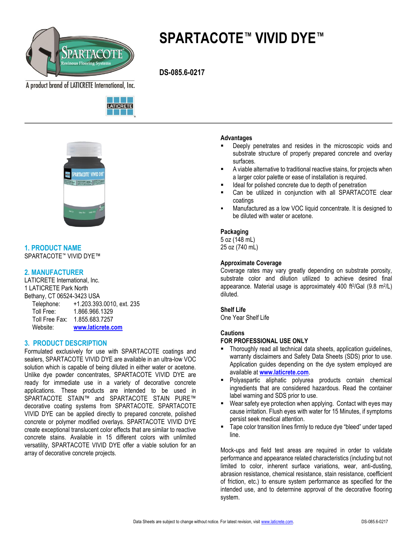

# **SPARTACOTE™ VIVID DYE™**

 **DS-085.6-0217**

A product brand of LATICRETE International, Inc.





**1. PRODUCT NAME** SPARTACOTE™ VIVID DYE™

# **2. MANUFACTURER**

LATICRETE International, Inc. 1 LATICRETE Park North Bethany, CT 06524-3423 USA Telephone: +1.203.393.0010, ext. 235 Toll Free: 1.866.966.1329 Toll Free Fax: 1.855.683.7257 Website: **[www.laticrete.com](http://www.spartacote.com/)**

# **3. PRODUCT DESCRIPTION**

Formulated exclusively for use with SPARTACOTE coatings and sealers, SPARTACOTE VIVID DYE are available in an ultra-low VOC solution which is capable of being diluted in either water or acetone. Unlike dye powder concentrates, SPARTACOTE VIVID DYE are ready for immediate use in a variety of decorative concrete applications. These products are intended to be used in SPARTACOTE STAIN™ and SPARTACOTE STAIN PURE™ decorative coating systems from SPARTACOTE. SPARTACOTE VIVID DYE can be applied directly to prepared concrete, polished concrete or polymer modified overlays. SPARTACOTE VIVID DYE create exceptional translucent color effects that are similar to reactive concrete stains. Available in 15 different colors with unlimited versatility, SPARTACOTE VIVID DYE offer a viable solution for an array of decorative concrete projects.

#### **Advantages**

- Deeply penetrates and resides in the microscopic voids and substrate structure of properly prepared concrete and overlay surfaces.
- A viable alternative to traditional reactive stains, for projects when a larger color palette or ease of installation is required.
- Ideal for polished concrete due to depth of penetration
- Can be utilized in conjunction with all SPARTACOTE clear coatings
- Manufactured as a low VOC liquid concentrate. It is designed to be diluted with water or acetone.

#### **Packaging**

5 oz (148 mL) 25 oz (740 mL)

### **Approximate Coverage**

Coverage rates may vary greatly depending on substrate porosity, substrate color and dilution utilized to achieve desired final appearance. Material usage is approximately 400 ft<sup>2</sup> /Gal (9.8 m<sup>2</sup> /L) diluted.

### **Shelf Life**

One Year Shelf Life

## **Cautions**

## **FOR PROFESSIONAL USE ONLY**

- Thoroughly read all technical data sheets, application guidelines, warranty disclaimers and Safety Data Sheets (SDS) prior to use. Application guides depending on the dye system employed are available at **[www.laticrete.com](http://www.spartacote.com/)**.
- Polyaspartic aliphatic polyurea products contain chemical ingredients that are considered hazardous. Read the container label warning and SDS prior to use.
- Wear safety eye protection when applying. Contact with eyes may cause irritation. Flush eyes with water for 15 Minutes, if symptoms persist seek medical attention.
- Tape color transition lines firmly to reduce dye "bleed" under taped line.

Mock-ups and field test areas are required in order to validate performance and appearance related characteristics (including but not limited to color, inherent surface variations, wear, anti-dusting, abrasion resistance, chemical resistance, stain resistance, coefficient of friction, etc.) to ensure system performance as specified for the intended use, and to determine approval of the decorative flooring system.